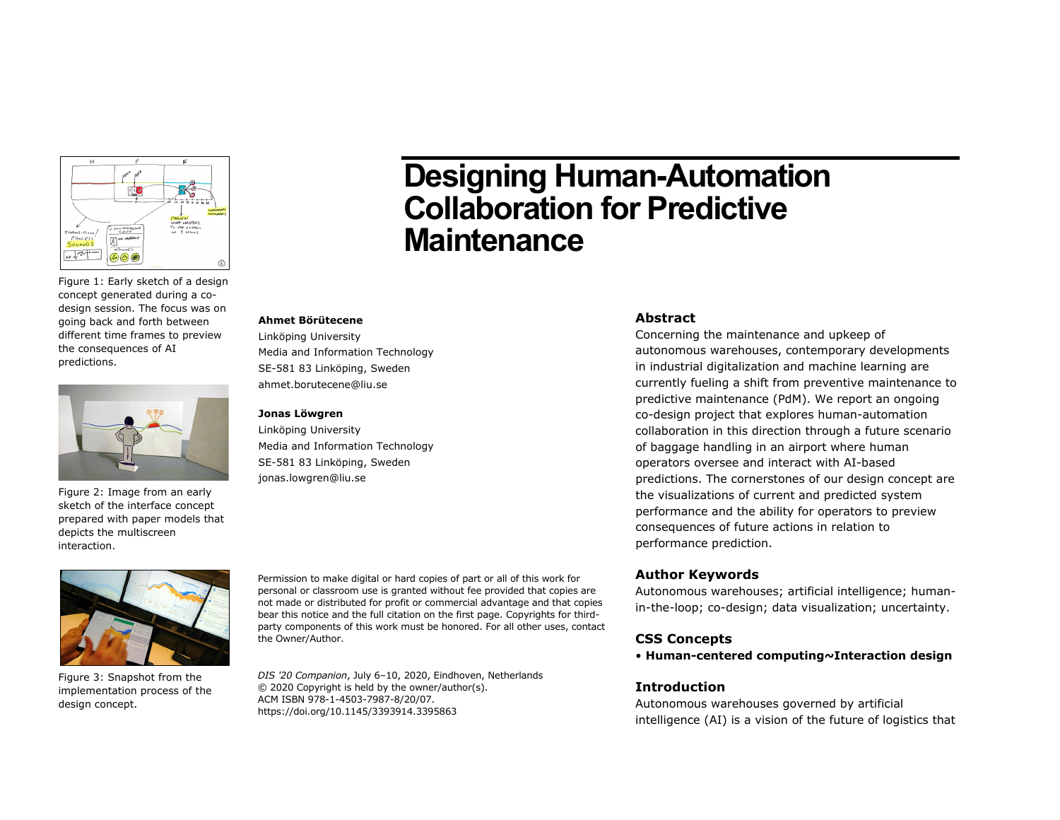

Figure 1: Early sketch of a design concept generated during a codesign session. The focus was on going back and forth between different time frames to preview the consequences of AI predictions.



Figure 2: Image from an early sketch of the interface concept prepared with paper models that depicts the multiscreen interaction.

# **Designing Human-Automation Collaboration for Predictive Maintenance**

#### **Ahmet Börütecene**

Linköping University Media and Information Technology SE-581 83 Linköping, Sweden ahmet.borutecene@liu.se

#### **Jonas Löwgren**

Linköping University Media and Information Technology SE-581 83 Linköping, Sweden jonas.lowgren@liu.se



Figure 3: Snapshot from the implementation process of the design concept.

Permission to make digital or hard copies of part or all of this work for personal or classroom use is granted without fee provided that copies are not made or distributed for profit or commercial advantage and that copies bear this notice and the full citation on the first page. Copyrights for thirdparty components of this work must be honored. For all other uses, contact the Owner/Author.

*DIS '20 Companion*, July 6–10, 2020, Eindhoven, Netherlands © 2020 Copyright is held by the owner/author(s). ACM ISBN 978-1-4503-7987-8/20/07. https://doi.org/10.1145/3393914.3395863

#### **Abstract**

Concerning the maintenance and upkeep of autonomous warehouses, contemporary developments in industrial digitalization and machine learning are currently fueling a shift from preventive maintenance to predictive maintenance (PdM). We report an ongoing co-design project that explores human-automation collaboration in this direction through a future scenario of baggage handling in an airport where human operators oversee and interact with AI-based predictions. The cornerstones of our design concept are the visualizations of current and predicted system performance and the ability for operators to preview consequences of future actions in relation to performance prediction.

#### **Author Keywords**

Autonomous warehouses; artificial intelligence; humanin-the-loop; co-design; data visualization; uncertainty.

#### **CSS Concepts**

• **Human-centered computing~Interaction design**

### **Introduction**

Autonomous warehouses governed by artificial intelligence (AI) is a vision of the future of logistics that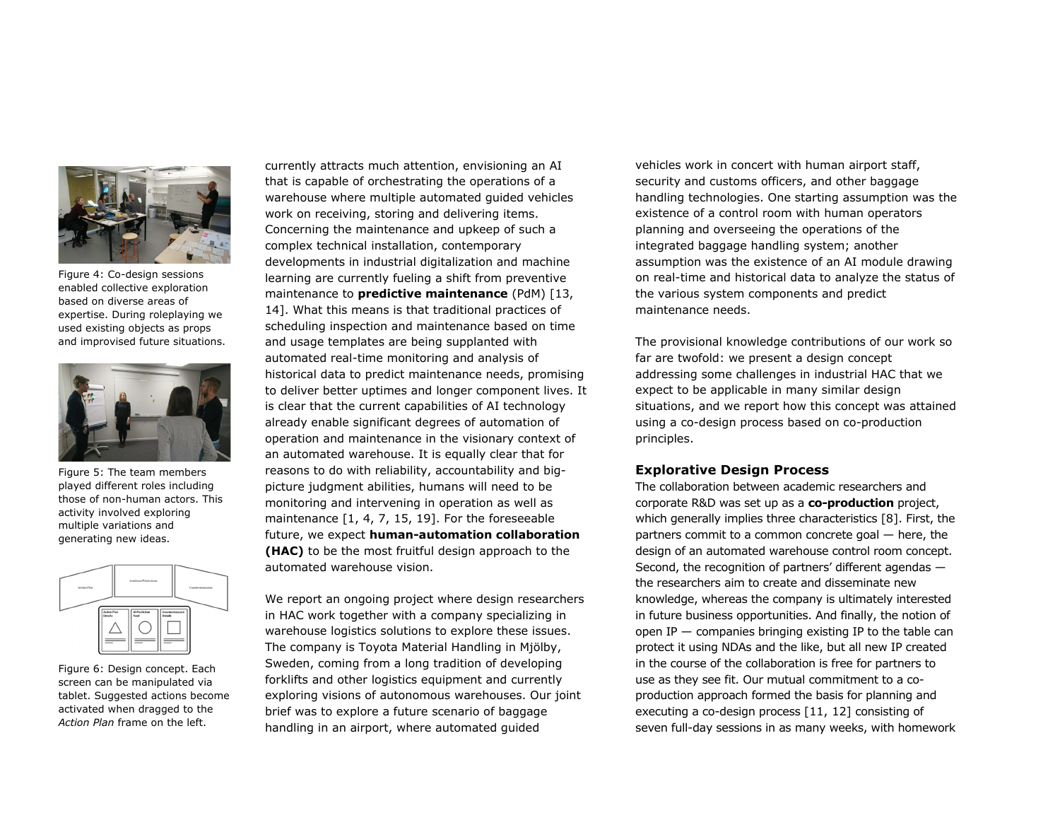

Figure 4: Co-design sessions enabled collective exploration based on diverse areas of expertise. During roleplaying we used existing objects as props and improvised future situations.



Figure 5: The team members played different roles including those of non-human actors. This activity involved exploring multiple variations and generating new ideas.



Figure 6: Design concept. Each screen can be manipulated via tablet. Suggested actions become activated when dragged to the *Action Plan* frame on the left.

currently attracts much attention, envisioning an AI that is capable of orchestrating the operations of a warehouse where multiple automated guided vehicles work on receiving, storing and delivering items. Concerning the maintenance and upkeep of such a complex technical installation, contemporary developments in industrial digitalization and machine learning are currently fueling a shift from preventive maintenance to **predictive maintenance** (PdM) [13, 14]. What this means is that traditional practices of scheduling inspection and maintenance based on time and usage templates are being supplanted with automated real-time monitoring and analysis of historical data to predict maintenance needs, promising to deliver better uptimes and longer component lives. It is clear that the current capabilities of AI technology already enable significant degrees of automation of operation and maintenance in the visionary context of an automated warehouse. It is equally clear that for reasons to do with reliability, accountability and bigpicture judgment abilities, humans will need to be monitoring and intervening in operation as well as maintenance [1, 4, 7, 15, 19]. For the foreseeable future, we expect **human-automation collaboration (HAC)** to be the most fruitful design approach to the automated warehouse vision.

We report an ongoing project where design researchers in HAC work together with a company specializing in warehouse logistics solutions to explore these issues. The company is Toyota Material Handling in Mjölby, Sweden, coming from a long tradition of developing forklifts and other logistics equipment and currently exploring visions of autonomous warehouses. Our joint brief was to explore a future scenario of baggage handling in an airport, where automated guided

vehicles work in concert with human airport staff, security and customs officers, and other baggage handling technologies. One starting assumption was the existence of a control room with human operators planning and overseeing the operations of the integrated baggage handling system; another assumption was the existence of an AI module drawing on real-time and historical data to analyze the status of the various system components and predict maintenance needs.

The provisional knowledge contributions of our work so far are twofold: we present a design concept addressing some challenges in industrial HAC that we expect to be applicable in many similar design situations, and we report how this concept was attained using a co-design process based on co-production principles.

#### **Explorative Design Process**

The collaboration between academic researchers and corporate R&D was set up as a **co-production** project, which generally implies three characteristics [8]. First, the partners commit to a common concrete goal — here, the design of an automated warehouse control room concept. Second, the recognition of partners' different agendas the researchers aim to create and disseminate new knowledge, whereas the company is ultimately interested in future business opportunities. And finally, the notion of open IP — companies bringing existing IP to the table can protect it using NDAs and the like, but all new IP created in the course of the collaboration is free for partners to use as they see fit. Our mutual commitment to a coproduction approach formed the basis for planning and executing a co-design process [11, 12] consisting of seven full-day sessions in as many weeks, with homework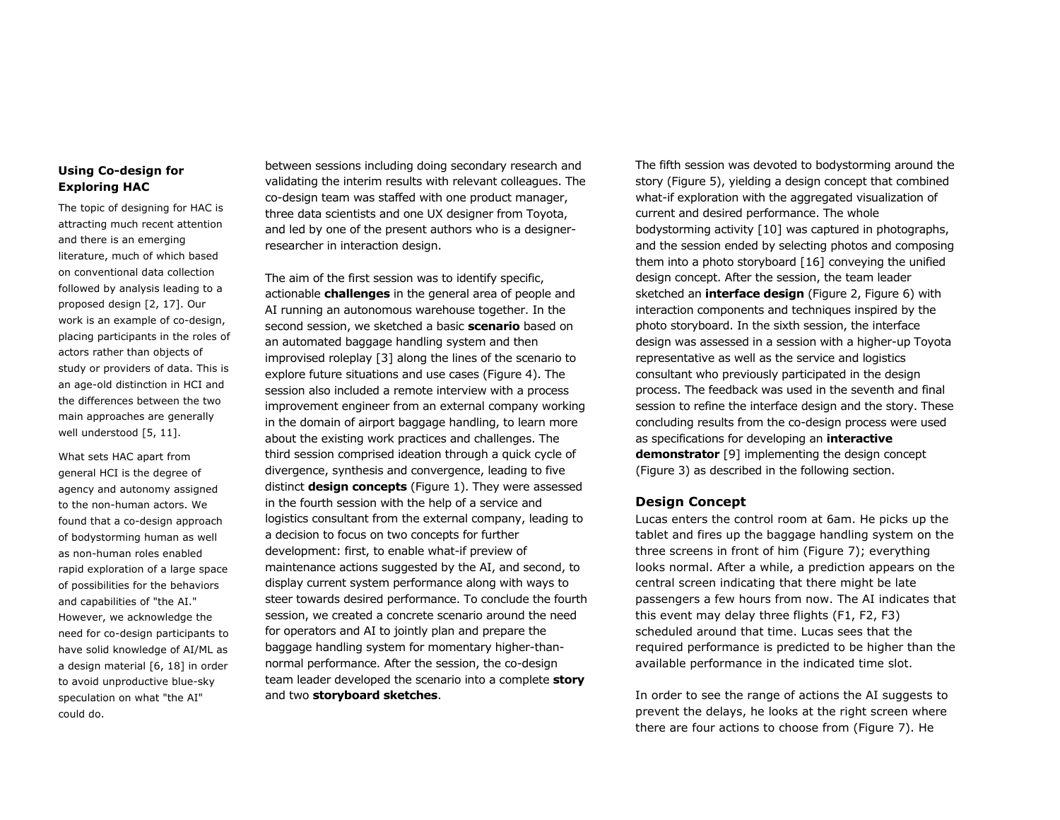## **Using Co-design for Exploring HAC**

The topic of designing for HAC is attracting much recent attention and there is an emerging literature, much of which based on conventional data collection followed by analysis leading to a proposed design [2, 17]. Our work is an example of co-design, placing participants in the roles of actors rather than objects of study or providers of data. This is an age-old distinction in HCI and the differences between the two main approaches are generally well understood [5, 11].

What sets HAC apart from general HCI is the degree of agency and autonomy assigned to the non-human actors. We found that a co-design approach of bodystorming human as well as non-human roles enabled rapid exploration of a large space of possibilities for the behaviors and capabilities of "the AI." However, we acknowledge the need for co-design participants to have solid knowledge of AI/ML as a design material [6, 18] in order to avoid unproductive blue-sky speculation on what "the AI" could do.

between sessions including doing secondary research and validating the interim results with relevant colleagues. The co-design team was staffed with one product manager, three data scientists and one UX designer from Toyota, and led by one of the present authors who is a designerresearcher in interaction design.

The aim of the first session was to identify specific, actionable **challenges** in the general area of people and AI running an autonomous warehouse together. In the second session, we sketched a basic **scenario** based on an automated baggage handling system and then improvised roleplay [3] along the lines of the scenario to explore future situations and use cases (Figure 4). The session also included a remote interview with a process improvement engineer from an external company working in the domain of airport baggage handling, to learn more about the existing work practices and challenges. The third session comprised ideation through a quick cycle of divergence, synthesis and convergence, leading to five distinct **design concepts** (Figure 1). They were assessed in the fourth session with the help of a service and logistics consultant from the external company, leading to a decision to focus on two concepts for further development: first, to enable what-if preview of maintenance actions suggested by the AI, and second, to display current system performance along with ways to steer towards desired performance. To conclude the fourth session, we created a concrete scenario around the need for operators and AI to jointly plan and prepare the baggage handling system for momentary higher-thannormal performance. After the session, the co-design team leader developed the scenario into a complete **story** and two **storyboard sketches**.

The fifth session was devoted to bodystorming around the story (Figure 5), yielding a design concept that combined what-if exploration with the aggregated visualization of current and desired performance. The whole bodystorming activity [10] was captured in photographs, and the session ended by selecting photos and composing them into a photo storyboard [16] conveying the unified design concept. After the session, the team leader sketched an **interface design** (Figure 2, Figure 6) with interaction components and techniques inspired by the photo storyboard. In the sixth session, the interface design was assessed in a session with a higher-up Toyota representative as well as the service and logistics consultant who previously participated in the design process. The feedback was used in the seventh and final session to refine the interface design and the story. These concluding results from the co-design process were used as specifications for developing an **interactive demonstrator** [9] implementing the design concept (Figure 3) as described in the following section.

#### **Design Concept**

Lucas enters the control room at 6am. He picks up the tablet and fires up the baggage handling system on the three screens in front of him (Figure 7); everything looks normal. After a while, a prediction appears on the central screen indicating that there might be late passengers a few hours from now. The AI indicates that this event may delay three flights (F1, F2, F3) scheduled around that time. Lucas sees that the required performance is predicted to be higher than the available performance in the indicated time slot.

In order to see the range of actions the AI suggests to prevent the delays, he looks at the right screen where there are four actions to choose from (Figure 7). He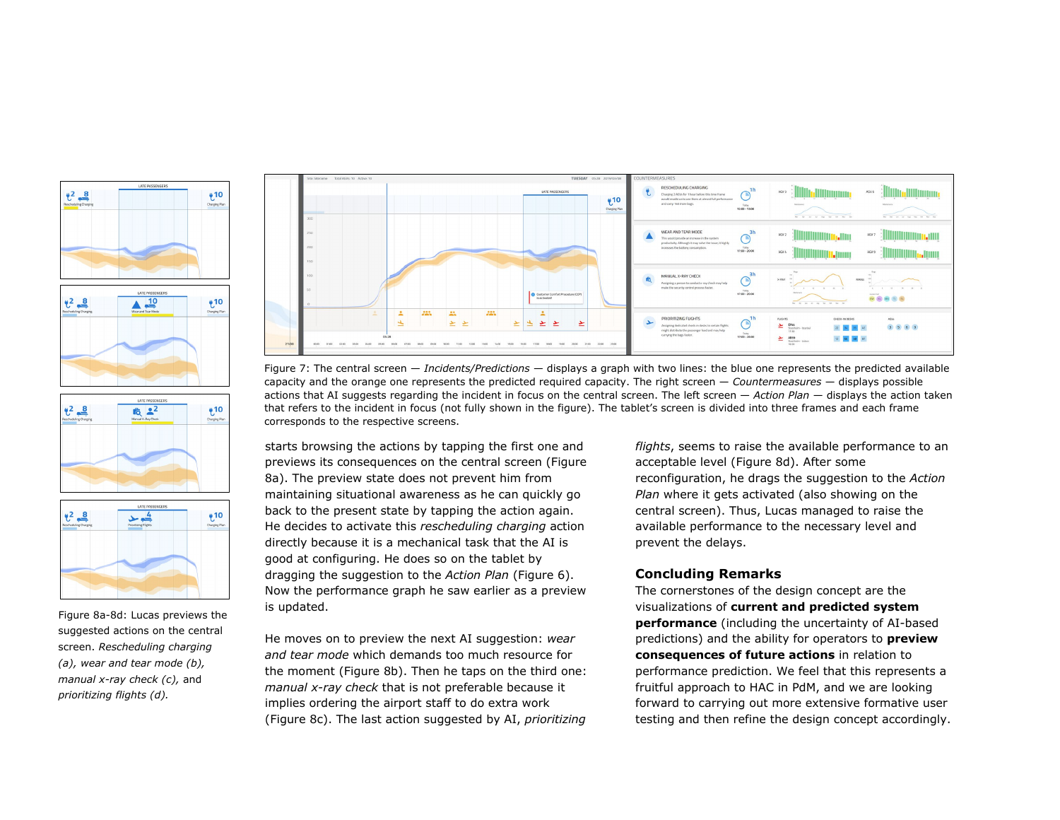





Figure 8a-8d: Lucas previews the suggested actions on the central screen. *Rescheduling charging (a), wear and tear mode (b), manual x-ray check (c),* and *prioritizing flights (d).*



Figure 7: The central screen — *Incidents/Predictions* — displays a graph with two lines: the blue one represents the predicted available capacity and the orange one represents the predicted required capacity. The right screen — *Countermeasures* — displays possible actions that AI suggests regarding the incident in focus on the central screen. The left screen — *Action Plan* — displays the action taken that refers to the incident in focus (not fully shown in the figure). The tablet's screen is divided into three frames and each frame corresponds to the respective screens.

starts browsing the actions by tapping the first one and previews its consequences on the central screen (Figure 8a). The preview state does not prevent him from maintaining situational awareness as he can quickly go back to the present state by tapping the action again. He decides to activate this *rescheduling charging* action directly because it is a mechanical task that the AI is good at configuring. He does so on the tablet by dragging the suggestion to the *Action Plan* (Figure 6). Now the performance graph he saw earlier as a preview is updated.

He moves on to preview the next AI suggestion: *wear and tear mode* which demands too much resource for the moment (Figure 8b). Then he taps on the third one: *manual x-ray check* that is not preferable because it implies ordering the airport staff to do extra work (Figure 8c). The last action suggested by AI, *prioritizing* 

*flights*, seems to raise the available performance to an acceptable level (Figure 8d). After some reconfiguration, he drags the suggestion to the *Action Plan* where it gets activated (also showing on the central screen). Thus, Lucas managed to raise the available performance to the necessary level and prevent the delays.

#### **Concluding Remarks**

The cornerstones of the design concept are the visualizations of **current and predicted system performance** (including the uncertainty of AI-based predictions) and the ability for operators to **preview consequences of future actions** in relation to performance prediction. We feel that this represents a fruitful approach to HAC in PdM, and we are looking forward to carrying out more extensive formative user testing and then refine the design concept accordingly.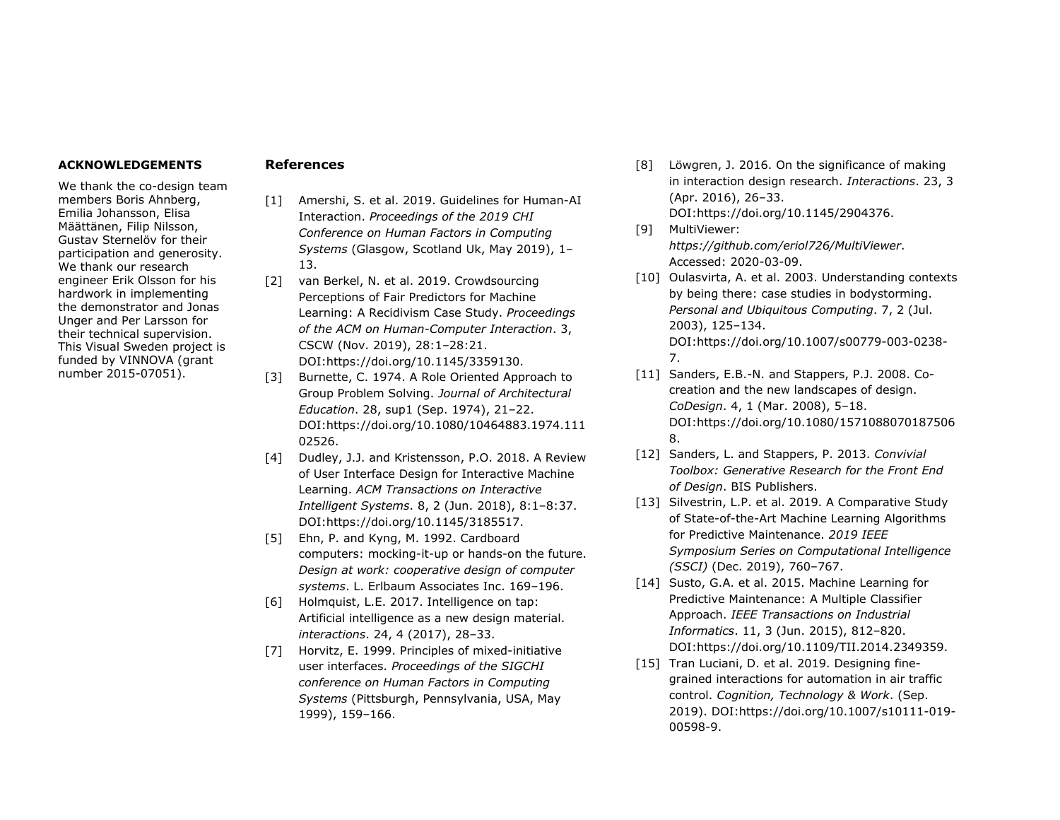#### **ACKNOWLEDGEMENTS**

We thank the co-design team members Boris Ahnberg, Emilia Johansson, Elisa Määttänen, Filip Nilsson, Gustav Sternelöv for their participation and generosity. We thank our research engineer Erik Olsson for his hardwork in implementing the demonstrator and Jonas Unger and Per Larsson for their technical supervision. This Visual Sweden project is funded by VINNOVA (grant number 2015-07051).

## **References**

- [1] Amershi, S. et al. 2019. Guidelines for Human-AI Interaction. *Proceedings of the 2019 CHI Conference on Human Factors in Computing Systems* (Glasgow, Scotland Uk, May 2019), 1– 13.
- [2] van Berkel, N. et al. 2019. Crowdsourcing Perceptions of Fair Predictors for Machine Learning: A Recidivism Case Study. *Proceedings of the ACM on Human-Computer Interaction*. 3, CSCW (Nov. 2019), 28:1–28:21. DOI:https://doi.org/10.1145/3359130.
- [3] Burnette, C. 1974. A Role Oriented Approach to Group Problem Solving. *Journal of Architectural Education*. 28, sup1 (Sep. 1974), 21–22. DOI:https://doi.org/10.1080/10464883.1974.111 02526.
- [4] Dudley, J.J. and Kristensson, P.O. 2018. A Review of User Interface Design for Interactive Machine Learning. *ACM Transactions on Interactive Intelligent Systems*. 8, 2 (Jun. 2018), 8:1–8:37. DOI:https://doi.org/10.1145/3185517.
- [5] Ehn, P. and Kyng, M. 1992. Cardboard computers: mocking-it-up or hands-on the future. *Design at work: cooperative design of computer systems*. L. Erlbaum Associates Inc. 169–196.
- [6] Holmquist, L.E. 2017. Intelligence on tap: Artificial intelligence as a new design material. *interactions*. 24, 4 (2017), 28–33.
- [7] Horvitz, E. 1999. Principles of mixed-initiative user interfaces. *Proceedings of the SIGCHI conference on Human Factors in Computing Systems* (Pittsburgh, Pennsylvania, USA, May 1999), 159–166.
- [8] Löwgren, J. 2016. On the significance of making in interaction design research. *Interactions*. 23, 3 (Apr. 2016), 26–33. DOI:https://doi.org/10.1145/2904376.
- [9] MultiViewer: *https://github.com/eriol726/MultiViewer*. Accessed: 2020-03-09.
- [10] Oulasvirta, A. et al. 2003. Understanding contexts by being there: case studies in bodystorming. *Personal and Ubiquitous Computing*. 7, 2 (Jul. 2003), 125–134. DOI:https://doi.org/10.1007/s00779-003-0238- 7.
- [11] Sanders, E.B.-N. and Stappers, P.J. 2008. Cocreation and the new landscapes of design. *CoDesign*. 4, 1 (Mar. 2008), 5–18. DOI:https://doi.org/10.1080/1571088070187506 8.
- [12] Sanders, L. and Stappers, P. 2013. *Convivial Toolbox: Generative Research for the Front End of Design*. BIS Publishers.
- [13] Silvestrin, L.P. et al. 2019. A Comparative Study of State-of-the-Art Machine Learning Algorithms for Predictive Maintenance. *2019 IEEE Symposium Series on Computational Intelligence (SSCI)* (Dec. 2019), 760–767.
- [14] Susto, G.A. et al. 2015. Machine Learning for Predictive Maintenance: A Multiple Classifier Approach. *IEEE Transactions on Industrial Informatics*. 11, 3 (Jun. 2015), 812–820. DOI:https://doi.org/10.1109/TII.2014.2349359.
- [15] Tran Luciani, D. et al. 2019. Designing finegrained interactions for automation in air traffic control. *Cognition, Technology & Work*. (Sep. 2019). DOI:https://doi.org/10.1007/s10111-019- 00598-9.